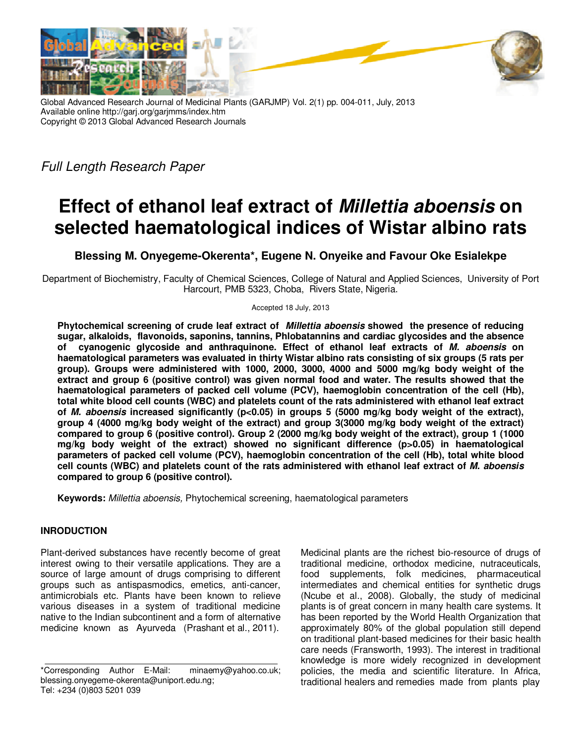

Global Advanced Research Journal of Medicinal Plants (GARJMP) Vol. 2(1) pp. 004-011, July, 2013 Available online http://garj.org/garjmms/index.htm Copyright © 2013 Global Advanced Research Journals

Full Length Research Paper

# **Effect of ethanol leaf extract of Millettia aboensis on selected haematological indices of Wistar albino rats**

**Blessing M. Onyegeme-Okerenta\*, Eugene N. Onyeike and Favour Oke Esialekpe** 

Department of Biochemistry, Faculty of Chemical Sciences, College of Natural and Applied Sciences, University of Port Harcourt, PMB 5323, Choba, Rivers State, Nigeria.

Accepted 18 July, 2013

**Phytochemical screening of crude leaf extract of Millettia aboensis showed the presence of reducing sugar, alkaloids, flavonoids, saponins, tannins, Phlobatannins and cardiac glycosides and the absence of cyanogenic glycoside and anthraquinone. Effect of ethanol leaf extracts of M. aboensis on haematological parameters was evaluated in thirty Wistar albino rats consisting of six groups (5 rats per group). Groups were administered with 1000, 2000, 3000, 4000 and 5000 mg/kg body weight of the extract and group 6 (positive control) was given normal food and water. The results showed that the haematological parameters of packed cell volume (PCV), haemoglobin concentration of the cell (Hb), total white blood cell counts (WBC) and platelets count of the rats administered with ethanol leaf extract of M. aboensis increased significantly (p<0.05) in groups 5 (5000 mg/kg body weight of the extract), group 4 (4000 mg/kg body weight of the extract) and group 3(3000 mg/kg body weight of the extract) compared to group 6 (positive control). Group 2 (2000 mg/kg body weight of the extract), group 1 (1000 mg/kg body weight of the extract) showed no significant difference (p>0.05) in haematological parameters of packed cell volume (PCV), haemoglobin concentration of the cell (Hb), total white blood cell counts (WBC) and platelets count of the rats administered with ethanol leaf extract of M. aboensis compared to group 6 (positive control).** 

**Keywords:** Millettia aboensis, Phytochemical screening, haematological parameters

## **INRODUCTION**

Plant-derived substances have recently become of great interest owing to their versatile applications. They are a source of large amount of drugs comprising to different groups such as antispasmodics, emetics, anti-cancer, antimicrobials etc. Plants have been known to relieve various diseases in a system of traditional medicine native to the Indian subcontinent and a form of alternative medicine known as Ayurveda (Prashant et al., 2011).

Medicinal plants are the richest bio-resource of drugs of traditional medicine, orthodox medicine, nutraceuticals, food supplements, folk medicines, pharmaceutical intermediates and chemical entities for synthetic drugs (Ncube et al., 2008). Globally, the study of medicinal plants is of great concern in many health care systems. It has been reported by the World Health Organization that approximately 80% of the global population still depend on traditional plant-based medicines for their basic health care needs (Fransworth, 1993). The interest in traditional knowledge is more widely recognized in development policies, the media and scientific literature. In Africa, traditional healers and remedies made from plants play

<sup>\*</sup>Corresponding Author E-Mail: minaemy@yahoo.co.uk; blessing.onyegeme-okerenta@uniport.edu.ng; Tel: +234 (0)803 5201 039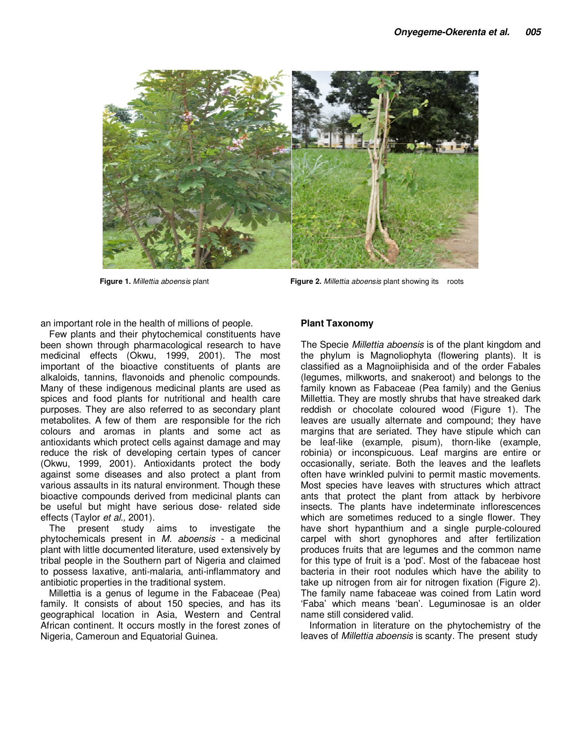

**Figure 1.** Millettia aboensis plant **Figure 2.** Millettia aboensis plant showing its roots

an important role in the health of millions of people.

Few plants and their phytochemical constituents have been shown through pharmacological research to have medicinal effects (Okwu, 1999, 2001). The most important of the bioactive constituents of plants are alkaloids, tannins, flavonoids and phenolic compounds. Many of these indigenous medicinal plants are used as spices and food plants for nutritional and health care purposes. They are also referred to as secondary plant metabolites. A few of them are responsible for the rich colours and aromas in plants and some act as antioxidants which protect cells against damage and may reduce the risk of developing certain types of cancer (Okwu, 1999, 2001). Antioxidants protect the body against some diseases and also protect a plant from various assaults in its natural environment. Though these bioactive compounds derived from medicinal plants can be useful but might have serious dose- related side effects (Taylor et al., 2001).

The present study aims to investigate the phytochemicals present in M. aboensis - a medicinal plant with little documented literature, used extensively by tribal people in the Southern part of Nigeria and claimed to possess laxative, anti-malaria, anti-inflammatory and antibiotic properties in the traditional system.

Millettia is a genus of legume in the Fabaceae (Pea) family. It consists of about 150 species, and has its geographical location in Asia, Western and Central African continent. It occurs mostly in the forest zones of Nigeria, Cameroun and Equatorial Guinea.

## **Plant Taxonomy**

The Specie Millettia aboensis is of the plant kingdom and the phylum is Magnoliophyta (flowering plants). It is classified as a Magnoiiphisida and of the order Fabales (legumes, milkworts, and snakeroot) and belongs to the family known as Fabaceae (Pea family) and the Genius Millettia. They are mostly shrubs that have streaked dark reddish or chocolate coloured wood (Figure 1). The leaves are usually alternate and compound; they have margins that are seriated. They have stipule which can be leaf-like (example, pisum), thorn-like (example, robinia) or inconspicuous. Leaf margins are entire or occasionally, seriate. Both the leaves and the leaflets often have wrinkled pulvini to permit mastic movements. Most species have leaves with structures which attract ants that protect the plant from attack by herbivore insects. The plants have indeterminate inflorescences which are sometimes reduced to a single flower. They have short hypanthium and a single purple-coloured carpel with short gynophores and after fertilization produces fruits that are legumes and the common name for this type of fruit is a 'pod'. Most of the fabaceae host bacteria in their root nodules which have the ability to take up nitrogen from air for nitrogen fixation (Figure 2). The family name fabaceae was coined from Latin word 'Faba' which means 'bean'. Leguminosae is an older name still considered valid.

Information in literature on the phytochemistry of the leaves of Millettia aboensis is scanty. The present study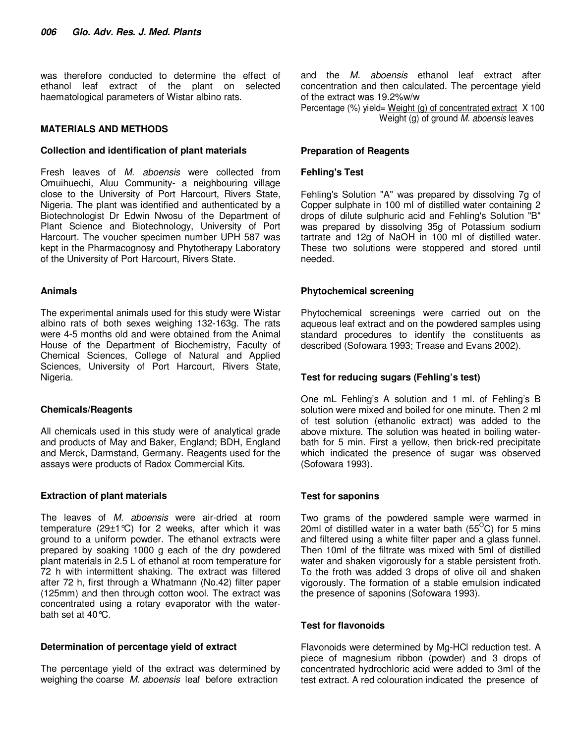was therefore conducted to determine the effect of ethanol leaf extract of the plant on selected haematological parameters of Wistar albino rats.

## **MATERIALS AND METHODS**

#### **Collection and identification of plant materials**

Fresh leaves of M. aboensis were collected from Omuihuechi, Aluu Community- a neighbouring village close to the University of Port Harcourt, Rivers State, Nigeria. The plant was identified and authenticated by a Biotechnologist Dr Edwin Nwosu of the Department of Plant Science and Biotechnology, University of Port Harcourt. The voucher specimen number UPH 587 was kept in the Pharmacognosy and Phytotherapy Laboratory of the University of Port Harcourt, Rivers State.

## **Animals**

The experimental animals used for this study were Wistar albino rats of both sexes weighing 132-163g. The rats were 4-5 months old and were obtained from the Animal House of the Department of Biochemistry, Faculty of Chemical Sciences, College of Natural and Applied Sciences, University of Port Harcourt, Rivers State, Nigeria.

## **Chemicals/Reagents**

All chemicals used in this study were of analytical grade and products of May and Baker, England; BDH, England and Merck, Darmstand, Germany. Reagents used for the assays were products of Radox Commercial Kits.

## **Extraction of plant materials**

The leaves of *M. aboensis* were air-dried at room temperature (29 $\pm$ 1 °C) for 2 weeks, after which it was ground to a uniform powder. The ethanol extracts were prepared by soaking 1000 g each of the dry powdered plant materials in 2.5 L of ethanol at room temperature for 72 h with intermittent shaking. The extract was filtered after 72 h, first through a Whatmann (No.42) filter paper (125mm) and then through cotton wool. The extract was concentrated using a rotary evaporator with the waterbath set at 40°C.

## **Determination of percentage yield of extract**

The percentage yield of the extract was determined by weighing the coarse M. aboensis leaf before extraction

and the M. aboensis ethanol leaf extract after concentration and then calculated. The percentage yield of the extract was 19.2%w/w

Percentage (%) yield= Weight (g) of concentrated extract X 100 Weight (g) of ground M. aboensis leaves

#### **Preparation of Reagents**

#### **Fehling's Test**

Fehling's Solution "A" was prepared by dissolving 7g of Copper sulphate in 100 ml of distilled water containing 2 drops of dilute sulphuric acid and Fehling's Solution "B" was prepared by dissolving 35g of Potassium sodium tartrate and 12g of NaOH in 100 ml of distilled water. These two solutions were stoppered and stored until needed.

## **Phytochemical screening**

Phytochemical screenings were carried out on the aqueous leaf extract and on the powdered samples using standard procedures to identify the constituents as described (Sofowara 1993; Trease and Evans 2002).

## **Test for reducing sugars (Fehling's test)**

One mL Fehling's A solution and 1 ml. of Fehling's B solution were mixed and boiled for one minute. Then 2 ml of test solution (ethanolic extract) was added to the above mixture. The solution was heated in boiling waterbath for 5 min. First a yellow, then brick-red precipitate which indicated the presence of sugar was observed (Sofowara 1993).

## **Test for saponins**

Two grams of the powdered sample were warmed in 20ml of distilled water in a water bath  $(55^{\circ}C)$  for 5 mins and filtered using a white filter paper and a glass funnel. Then 10ml of the filtrate was mixed with 5ml of distilled water and shaken vigorously for a stable persistent froth. To the froth was added 3 drops of olive oil and shaken vigorously. The formation of a stable emulsion indicated the presence of saponins (Sofowara 1993).

## **Test for flavonoids**

Flavonoids were determined by Mg-HCl reduction test. A piece of magnesium ribbon (powder) and 3 drops of concentrated hydrochloric acid were added to 3ml of the test extract. A red colouration indicated the presence of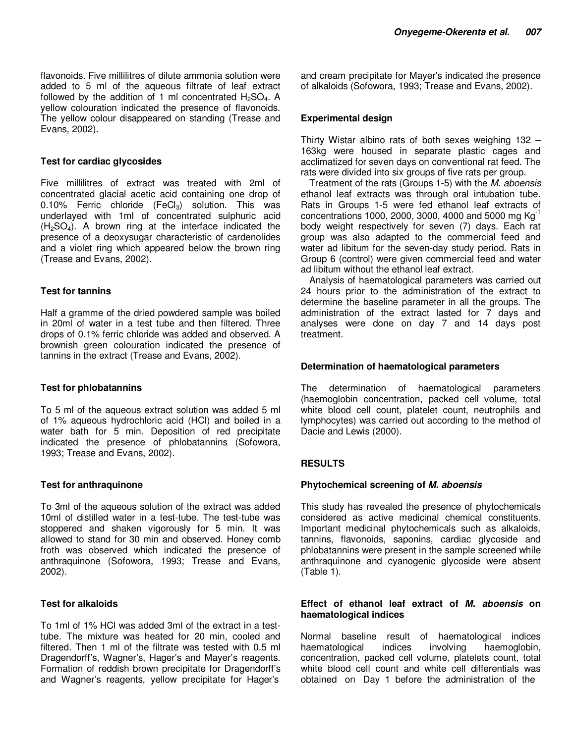#### **Test for cardiac glycosides**

Five millilitres of extract was treated with 2ml of concentrated glacial acetic acid containing one drop of 0.10% Ferric chloride  $(FeCl<sub>3</sub>)$  solution. This was underlayed with 1ml of concentrated sulphuric acid  $(H<sub>2</sub>SO<sub>4</sub>)$ . A brown ring at the interface indicated the presence of a deoxysugar characteristic of cardenolides and a violet ring which appeared below the brown ring (Trease and Evans, 2002).

#### **Test for tannins**

Half a gramme of the dried powdered sample was boiled in 20ml of water in a test tube and then filtered. Three drops of 0.1% ferric chloride was added and observed. A brownish green colouration indicated the presence of tannins in the extract (Trease and Evans, 2002).

#### **Test for phlobatannins**

To 5 ml of the aqueous extract solution was added 5 ml of 1% aqueous hydrochloric acid (HCl) and boiled in a water bath for 5 min. Deposition of red precipitate indicated the presence of phlobatannins (Sofowora, 1993; Trease and Evans, 2002).

## **Test for anthraquinone**

To 3ml of the aqueous solution of the extract was added 10ml of distilled water in a test-tube. The test-tube was stoppered and shaken vigorously for 5 min. It was allowed to stand for 30 min and observed. Honey comb froth was observed which indicated the presence of anthraquinone (Sofowora, 1993; Trease and Evans, 2002).

## **Test for alkaloids**

To 1ml of 1% HCl was added 3ml of the extract in a testtube. The mixture was heated for 20 min, cooled and filtered. Then 1 ml of the filtrate was tested with 0.5 ml Dragendorff's, Wagner's, Hager's and Mayer's reagents. Formation of reddish brown precipitate for Dragendorff's and Wagner's reagents, yellow precipitate for Hager's and cream precipitate for Mayer's indicated the presence of alkaloids (Sofowora, 1993; Trease and Evans, 2002).

## **Experimental design**

Thirty Wistar albino rats of both sexes weighing 132 – 163kg were housed in separate plastic cages and acclimatized for seven days on conventional rat feed. The rats were divided into six groups of five rats per group.

Treatment of the rats (Groups 1-5) with the M. aboensis ethanol leaf extracts was through oral intubation tube. Rats in Groups 1-5 were fed ethanol leaf extracts of concentrations 1000, 2000, 3000, 4000 and 5000 mg  $Kg^{-1}$ body weight respectively for seven (7) days. Each rat group was also adapted to the commercial feed and water ad libitum for the seven-day study period. Rats in Group 6 (control) were given commercial feed and water ad libitum without the ethanol leaf extract.

Analysis of haematological parameters was carried out 24 hours prior to the administration of the extract to determine the baseline parameter in all the groups. The administration of the extract lasted for 7 days and analyses were done on day 7 and 14 days post treatment.

## **Determination of haematological parameters**

The determination of haematological parameters (haemoglobin concentration, packed cell volume, total white blood cell count, platelet count, neutrophils and lymphocytes) was carried out according to the method of Dacie and Lewis (2000).

## **RESULTS**

#### **Phytochemical screening of M. aboensis**

This study has revealed the presence of phytochemicals considered as active medicinal chemical constituents. Important medicinal phytochemicals such as alkaloids, tannins, flavonoids, saponins, cardiac glycoside and phlobatannins were present in the sample screened while anthraquinone and cyanogenic glycoside were absent (Table 1).

#### **Effect of ethanol leaf extract of M. aboensis on haematological indices**

Normal baseline result of haematological indices haematological indices involving haemoglobin, concentration, packed cell volume, platelets count, total white blood cell count and white cell differentials was obtained on Day 1 before the administration of the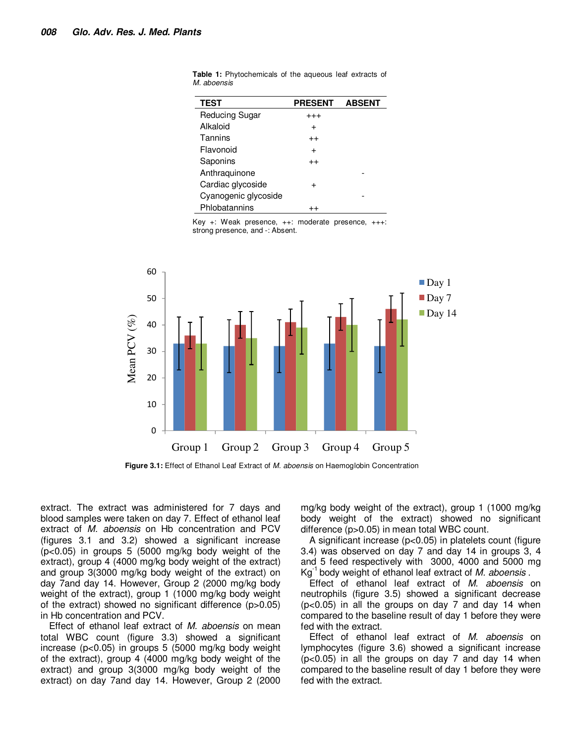| <b>TEST</b>           | <b>PRESENT</b> | <b>ABSENT</b> |
|-----------------------|----------------|---------------|
| <b>Reducing Sugar</b> | $^{+++}$       |               |
| Alkaloid              | $\div$         |               |
| Tannins               | $^{++}$        |               |
| Flavonoid             | $\div$         |               |
| Saponins              | $^{++}$        |               |
| Anthraquinone         |                |               |
| Cardiac glycoside     | +              |               |
| Cyanogenic glycoside  |                |               |
| Phlobatannins         |                |               |

**Table 1:** Phytochemicals of the aqueous leaf extracts of M. aboensis

Key +: Weak presence, ++: moderate presence, +++: strong presence, and -: Absent.



**Figure 3.1:** Effect of Ethanol Leaf Extract of M. aboensis on Haemoglobin Concentration

extract. The extract was administered for 7 days and blood samples were taken on day 7. Effect of ethanol leaf extract of *M. aboensis* on Hb concentration and PCV (figures 3.1 and 3.2) showed a significant increase (p<0.05) in groups 5 (5000 mg/kg body weight of the extract), group 4 (4000 mg/kg body weight of the extract) and group 3(3000 mg/kg body weight of the extract) on day 7and day 14. However, Group 2 (2000 mg/kg body weight of the extract), group 1 (1000 mg/kg body weight of the extract) showed no significant difference (p>0.05) in Hb concentration and PCV.

Effect of ethanol leaf extract of M. aboensis on mean total WBC count (figure 3.3) showed a significant increase (p<0.05) in groups 5 (5000 mg/kg body weight of the extract), group 4 (4000 mg/kg body weight of the extract) and group 3(3000 mg/kg body weight of the extract) on day 7and day 14. However, Group 2 (2000

mg/kg body weight of the extract), group 1 (1000 mg/kg body weight of the extract) showed no significant difference (p>0.05) in mean total WBC count.

A significant increase (p<0.05) in platelets count (figure 3.4) was observed on day 7 and day 14 in groups 3, 4 and 5 feed respectively with 3000, 4000 and 5000 mg  $Kg^{-1}$  body weight of ethanol leaf extract of M. aboensis.

Effect of ethanol leaf extract of M. aboensis on neutrophils (figure 3.5) showed a significant decrease  $(p<0.05)$  in all the groups on day 7 and day 14 when compared to the baseline result of day 1 before they were fed with the extract.

Effect of ethanol leaf extract of M. aboensis on lymphocytes (figure 3.6) showed a significant increase (p<0.05) in all the groups on day 7 and day 14 when compared to the baseline result of day 1 before they were fed with the extract.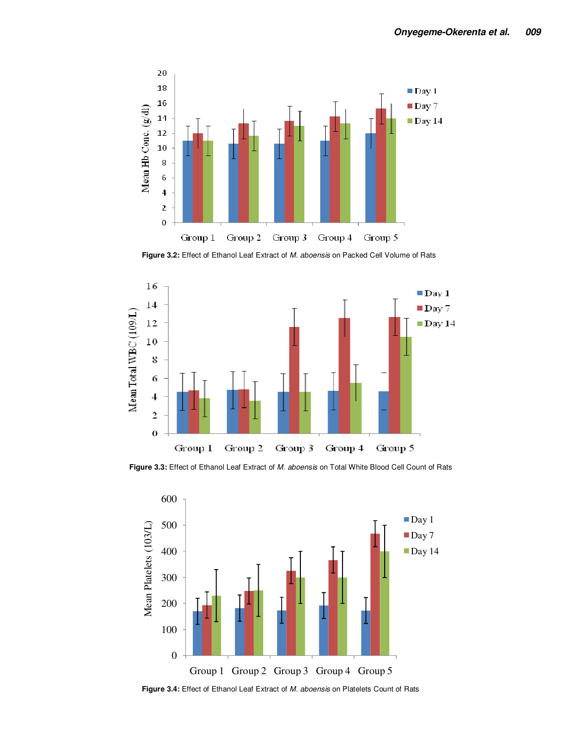

**Figure 3.2:** Effect of Ethanol Leaf Extract of M. aboensis on Packed Cell Volume of Rats



**Figure 3.3:** Effect of Ethanol Leaf Extract of M. aboensis on Total White Blood Cell Count of Rats



**Figure 3.4:** Effect of Ethanol Leaf Extract of M. aboensis on Platelets Count of Rats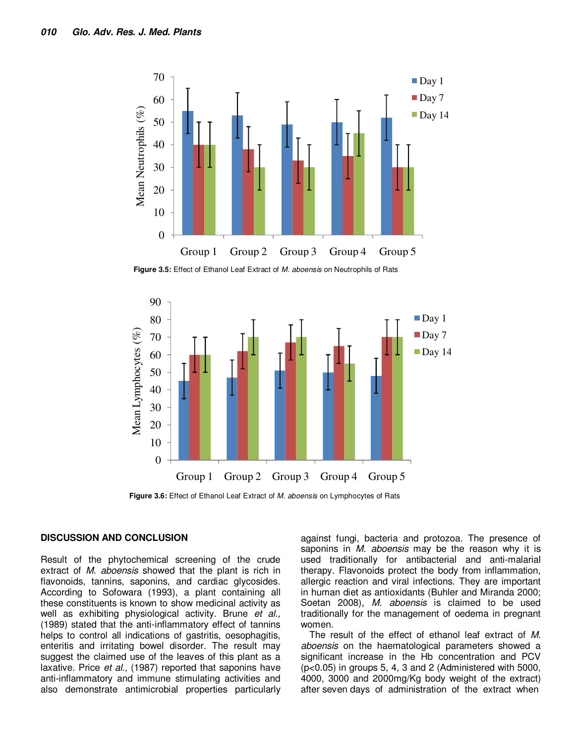

**Figure 3.5:** Effect of Ethanol Leaf Extract of M. aboensis on Neutrophils of Rats



**Figure 3.6:** Effect of Ethanol Leaf Extract of M. aboensis on Lymphocytes of Rats

#### **DISCUSSION AND CONCLUSION**

Result of the phytochemical screening of the crude extract of *M. aboensis* showed that the plant is rich in flavonoids, tannins, saponins, and cardiac glycosides. According to Sofowara (1993), a plant containing all these constituents is known to show medicinal activity as well as exhibiting physiological activity. Brune et al., (1989) stated that the anti-inflammatory effect of tannins helps to control all indications of gastritis, oesophagitis, enteritis and irritating bowel disorder. The result may suggest the claimed use of the leaves of this plant as a laxative. Price et al., (1987) reported that saponins have anti-inflammatory and immune stimulating activities and also demonstrate antimicrobial properties particularly against fungi, bacteria and protozoa. The presence of saponins in *M. aboensis* may be the reason why it is used traditionally for antibacterial and anti-malarial therapy. Flavonoids protect the body from inflammation, allergic reaction and viral infections. They are important in human diet as antioxidants (Buhler and Miranda 2000; Soetan 2008), M. aboensis is claimed to be used traditionally for the management of oedema in pregnant women.

The result of the effect of ethanol leaf extract of M. aboensis on the haematological parameters showed a significant increase in the Hb concentration and PCV (p<0.05) in groups 5, 4, 3 and 2 (Administered with 5000, 4000, 3000 and 2000mg/Kg body weight of the extract) after seven days of administration of the extract when